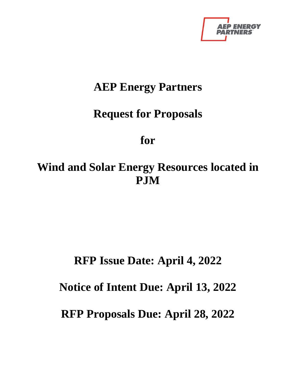

## **AEP Energy Partners**

# **Request for Proposals**

# **for**

# **Wind and Solar Energy Resources located in PJM**

# **RFP Issue Date: April 4, 2022**

## **Notice of Intent Due: April 13, 2022**

## **RFP Proposals Due: April 28, 2022**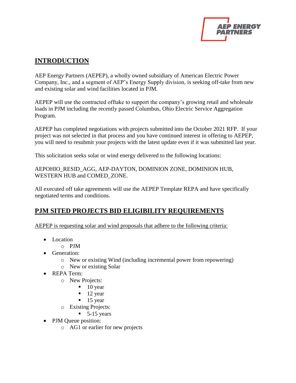

### **INTRODUCTION**

AEP Energy Partners (AEPEP), a wholly owned subsidiary of American Electric Power Company, Inc., and a segment of AEP's Energy Supply division, is seeking off-take from new and existing solar and wind facilities located in PJM.

AEPEP will use the contracted offtake to support the company's growing retail and wholesale loads in PJM including the recently passed Columbus, Ohio Electric Service Aggregation Program.

AEPEP has completed negotiations with projects submitted into the October 2021 RFP. If your project was not selected in that process and you have continued interest in offering to AEPEP, you will need to resubmit your projects with the latest update even if it was submitted last year.

This solicitation seeks solar or wind energy delivered to the following locations:

AEPOHIO\_RESID\_AGG, AEP-DAYTON, DOMINION ZONE, DOMINION HUB, WESTERN HUB and COMED\_ZONE.

All executed off take agreements will use the AEPEP Template REPA and have specifically negotiated terms and conditions.

### **PJM SITED PROJECTS BID ELIGIBILITY REQUIREMENTS**

AEPEP is requesting solar and wind proposals that adhere to the following criteria:

- Location
	- o PJM
- Generation:
	- o New or existing Wind (including incremental power from repowering)
	- o New or existing Solar
- REPA Term:
	- o New Projects:
		- $\blacksquare$  10 year
		- $\blacksquare$  12 year
		- $\blacksquare$  15 year
	- o Existing Projects:
		- $\blacksquare$  5-15 years
- PJM Queue position:
	- o AG1 or earlier for new projects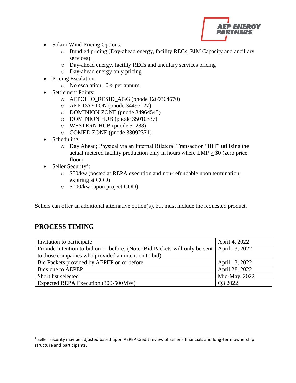

- Solar / Wind Pricing Options:
	- o Bundled pricing (Day-ahead energy, facility RECs, PJM Capacity and ancillary services)
	- o Day-ahead energy, facility RECs and ancillary services pricing
	- o Day-ahead energy only pricing
- Pricing Escalation:
	- o No escalation. 0% per annum.
- Settlement Points:
	- o AEPOHIO\_RESID\_AGG (pnode 1269364670)
	- o AEP-DAYTON (pnode 34497127)
	- o DOMINION ZONE (pnode 34964545)
	- o DOMINION HUB (pnode 35010337)
	- o WESTERN HUB (pnode 51288)
	- o COMED ZONE (pnode 33092371)
- Scheduling:
	- o Day Ahead; Physical via an Internal Bilateral Transaction "IBT" utilizing the actual metered facility production only in hours where LMP > \$0 (zero price floor)
- Seller Security<sup>1</sup>:
	- o \$50/kw (posted at REPA execution and non-refundable upon termination; expiring at COD)
	- o \$100/kw (upon project COD)

Sellers can offer an additional alternative option(s), but must include the requested product.

### **PROCESS TIMING**

 $\overline{\phantom{a}}$ 

| Invitation to participate                                                                     | April 4, 2022  |
|-----------------------------------------------------------------------------------------------|----------------|
| Provide intention to bid on or before; (Note: Bid Packets will only be sent   April 13, 2022) |                |
| to those companies who provided an intention to bid)                                          |                |
| Bid Packets provided by AEPEP on or before                                                    | April 13, 2022 |
| Bids due to AEPEP                                                                             | April 28, 2022 |
| Short list selected                                                                           | Mid-May, 2022  |
| Expected REPA Execution (300-500MW)                                                           | Q3 2022        |

<sup>&</sup>lt;sup>1</sup> Seller security may be adjusted based upon AEPEP Credit review of Seller's financials and long-term ownership structure and participants.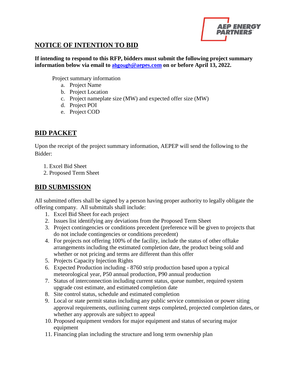

#### **NOTICE OF INTENTION TO BID**

**If intending to respond to this RFP, bidders must submit the following project summary information below via email to abgough[@aepes.com](mailto:abgough@aepes.com) on or before April 13, 2022.**

Project summary information

- a. Project Name
- b. Project Location
- c. Project nameplate size (MW) and expected offer size (MW)
- d. Project POI
- e. Project COD

#### **BID PACKET**

Upon the receipt of the project summary information, AEPEP will send the following to the Bidder:

- 1. Excel Bid Sheet
- 2. Proposed Term Sheet

### **BID SUBMISSION**

All submitted offers shall be signed by a person having proper authority to legally obligate the offering company. All submittals shall include:

- 1. Excel Bid Sheet for each project
- 2. Issues list identifying any deviations from the Proposed Term Sheet
- 3. Project contingencies or conditions precedent (preference will be given to projects that do not include contingencies or conditions precedent)
- 4. For projects not offering 100% of the facility, include the status of other offtake arrangements including the estimated completion date, the product being sold and whether or not pricing and terms are different than this offer
- 5. Projects Capacity Injection Rights
- 6. Expected Production including 8760 strip production based upon a typical meteorological year, P50 annual production, P90 annual production
- 7. Status of interconnection including current status, queue number, required system upgrade cost estimate, and estimated completion date
- 8. Site control status, schedule and estimated completion
- 9. Local or state permit status including any public service commission or power siting approval requirements, outlining current steps completed, projected completion dates, or whether any approvals are subject to appeal
- 10. Proposed equipment vendors for major equipment and status of securing major equipment
- 11. Financing plan including the structure and long term ownership plan